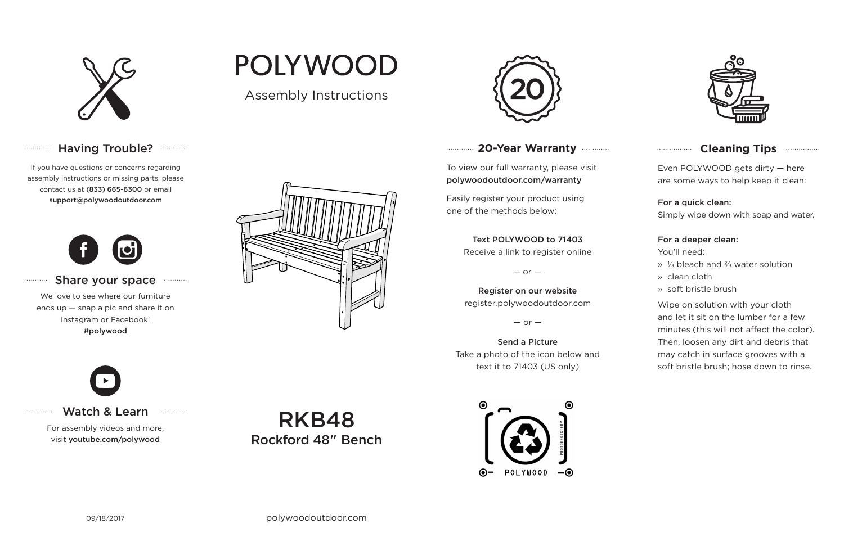

## Having Trouble? **Williams**

## **20-Year Warranty**

To view our full warranty, please visit polywoodoutdoor.com/warranty

Easily register your product using one of the methods below:

Even POLYWOOD gets dirty — here are some ways to help keep it clean:

#### For a quick clean:

Simply wipe down with soap and water.

#### For a deeper clean:

You'll need:

- » ⅓ bleach and ⅔ water solution
- » clean cloth
- » soft bristle brush

Wipe on solution with your cloth and let it sit on the lumber for a few minutes (this will not affect the color). Then, loosen any dirt and debris that may catch in surface grooves with a soft bristle brush; hose down to rinse.

#### Text POLYWOOD to 71403

Receive a link to register online

 $-$  or  $-$ 

Register on our website register.polywoodoutdoor.com

 $-$  or  $-$ 

Send a Picture Take a photo of the icon below and text it to 71403 (US only)





## **Cleaning Tips <b>Cleaning**</u>

Watch & Learn

For assembly videos and more, visit youtube.com/polywood

If you have questions or concerns regarding assembly instructions or missing parts, please contact us at (833) 665-6300 or email support@polywoodoutdoor.com

. . . . . . . . . . . . .

. . . . . . . . . . .

. . . . . . . . . . . . . . .



#### Share your space

We love to see where our furniture ends up — snap a pic and share it on Instagram or Facebook! #polywood



# **POLYWOOD**

Assembly Instructions



RKB48 Rockford 48" Bench